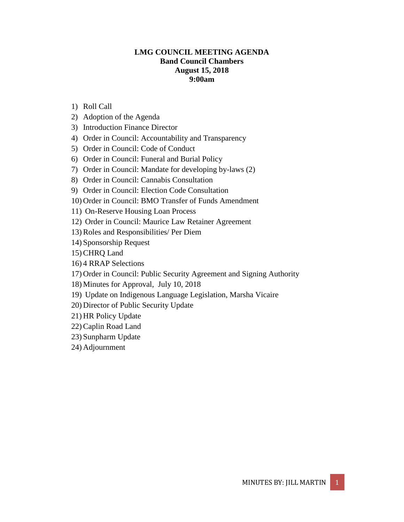# **LMG COUNCIL MEETING AGENDA Band Council Chambers August 15, 2018 9:00am**

- 1) Roll Call
- 2) Adoption of the Agenda
- 3) Introduction Finance Director
- 4) Order in Council: Accountability and Transparency
- 5) Order in Council: Code of Conduct
- 6) Order in Council: Funeral and Burial Policy
- 7) Order in Council: Mandate for developing by-laws (2)
- 8) Order in Council: Cannabis Consultation
- 9) Order in Council: Election Code Consultation
- 10) Order in Council: BMO Transfer of Funds Amendment
- 11) On-Reserve Housing Loan Process
- 12) Order in Council: Maurice Law Retainer Agreement
- 13) Roles and Responsibilities/ Per Diem
- 14) Sponsorship Request
- 15) CHRQ Land
- 16) 4 RRAP Selections
- 17) Order in Council: Public Security Agreement and Signing Authority
- 18) Minutes for Approval, July 10, 2018
- 19) Update on Indigenous Language Legislation, Marsha Vicaire
- 20) Director of Public Security Update
- 21) HR Policy Update
- 22) Caplin Road Land
- 23) Sunpharm Update
- 24) Adjournment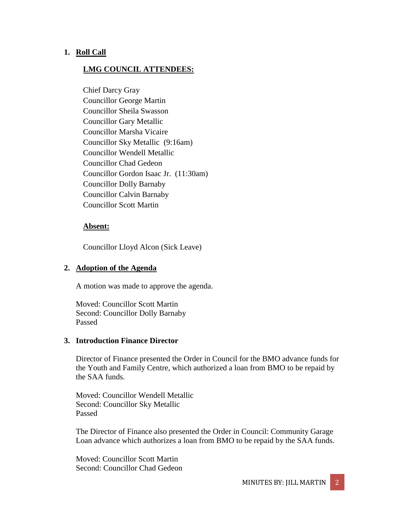## **1. Roll Call**

## **LMG COUNCIL ATTENDEES:**

Chief Darcy Gray Councillor George Martin Councillor Sheila Swasson Councillor Gary Metallic Councillor Marsha Vicaire Councillor Sky Metallic (9:16am) Councillor Wendell Metallic Councillor Chad Gedeon Councillor Gordon Isaac Jr. (11:30am) Councillor Dolly Barnaby Councillor Calvin Barnaby Councillor Scott Martin

#### **Absent:**

Councillor Lloyd Alcon (Sick Leave)

### **2. Adoption of the Agenda**

A motion was made to approve the agenda.

Moved: Councillor Scott Martin Second: Councillor Dolly Barnaby Passed

### **3. Introduction Finance Director**

Director of Finance presented the Order in Council for the BMO advance funds for the Youth and Family Centre, which authorized a loan from BMO to be repaid by the SAA funds.

Moved: Councillor Wendell Metallic Second: Councillor Sky Metallic Passed

The Director of Finance also presented the Order in Council: Community Garage Loan advance which authorizes a loan from BMO to be repaid by the SAA funds.

Moved: Councillor Scott Martin Second: Councillor Chad Gedeon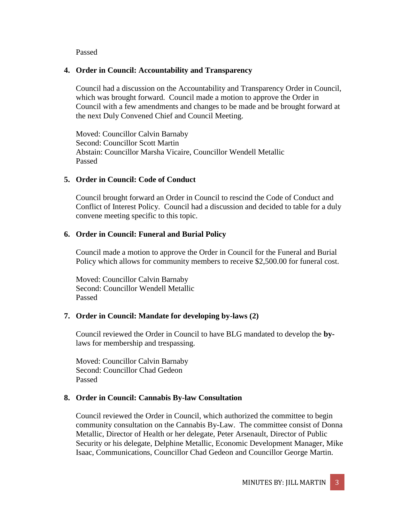Passed

## **4. Order in Council: Accountability and Transparency**

Council had a discussion on the Accountability and Transparency Order in Council, which was brought forward. Council made a motion to approve the Order in Council with a few amendments and changes to be made and be brought forward at the next Duly Convened Chief and Council Meeting.

Moved: Councillor Calvin Barnaby Second: Councillor Scott Martin Abstain: Councillor Marsha Vicaire, Councillor Wendell Metallic Passed

# **5. Order in Council: Code of Conduct**

Council brought forward an Order in Council to rescind the Code of Conduct and Conflict of Interest Policy. Council had a discussion and decided to table for a duly convene meeting specific to this topic.

# **6. Order in Council: Funeral and Burial Policy**

Council made a motion to approve the Order in Council for the Funeral and Burial Policy which allows for community members to receive \$2,500.00 for funeral cost.

Moved: Councillor Calvin Barnaby Second: Councillor Wendell Metallic Passed

# **7. Order in Council: Mandate for developing by-laws (2)**

Council reviewed the Order in Council to have BLG mandated to develop the **by**laws for membership and trespassing.

Moved: Councillor Calvin Barnaby Second: Councillor Chad Gedeon Passed

# **8. Order in Council: Cannabis By-law Consultation**

Council reviewed the Order in Council, which authorized the committee to begin community consultation on the Cannabis By-Law. The committee consist of Donna Metallic, Director of Health or her delegate, Peter Arsenault, Director of Public Security or his delegate, Delphine Metallic, Economic Development Manager, Mike Isaac, Communications, Councillor Chad Gedeon and Councillor George Martin.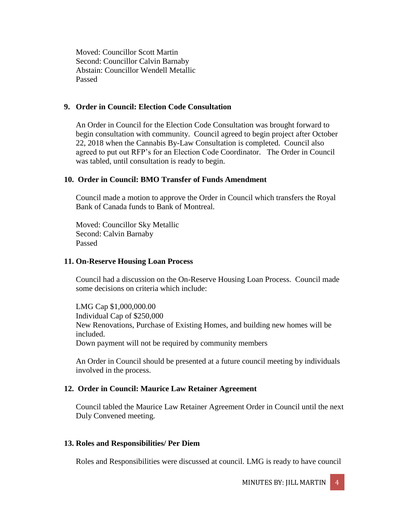Moved: Councillor Scott Martin Second: Councillor Calvin Barnaby Abstain: Councillor Wendell Metallic Passed

#### **9. Order in Council: Election Code Consultation**

An Order in Council for the Election Code Consultation was brought forward to begin consultation with community. Council agreed to begin project after October 22, 2018 when the Cannabis By-Law Consultation is completed.Council also agreed to put out RFP's for an Election Code Coordinator. The Order in Council was tabled, until consultation is ready to begin.

### **10. Order in Council: BMO Transfer of Funds Amendment**

Council made a motion to approve the Order in Council which transfers the Royal Bank of Canada funds to Bank of Montreal.

Moved: Councillor Sky Metallic Second: Calvin Barnaby Passed

#### **11. On-Reserve Housing Loan Process**

Council had a discussion on the On-Reserve Housing Loan Process. Council made some decisions on criteria which include:

LMG Cap \$1,000,000.00 Individual Cap of \$250,000 New Renovations, Purchase of Existing Homes, and building new homes will be included. Down payment will not be required by community members

An Order in Council should be presented at a future council meeting by individuals involved in the process.

#### **12. Order in Council: Maurice Law Retainer Agreement**

Council tabled the Maurice Law Retainer Agreement Order in Council until the next Duly Convened meeting.

#### **13. Roles and Responsibilities/ Per Diem**

Roles and Responsibilities were discussed at council. LMG is ready to have council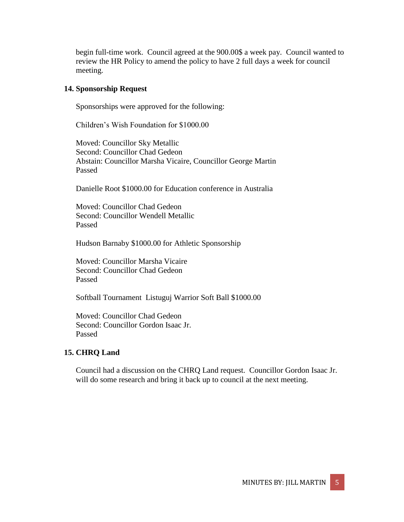begin full-time work. Council agreed at the 900.00\$ a week pay. Council wanted to review the HR Policy to amend the policy to have 2 full days a week for council meeting.

#### **14. Sponsorship Request**

Sponsorships were approved for the following:

Children's Wish Foundation for \$1000.00

Moved: Councillor Sky Metallic Second: Councillor Chad Gedeon Abstain: Councillor Marsha Vicaire, Councillor George Martin Passed

Danielle Root \$1000.00 for Education conference in Australia

Moved: Councillor Chad Gedeon Second: Councillor Wendell Metallic Passed

Hudson Barnaby \$1000.00 for Athletic Sponsorship

Moved: Councillor Marsha Vicaire Second: Councillor Chad Gedeon Passed

Softball Tournament Listuguj Warrior Soft Ball \$1000.00

Moved: Councillor Chad Gedeon Second: Councillor Gordon Isaac Jr. Passed

#### **15. CHRQ Land**

Council had a discussion on the CHRQ Land request. Councillor Gordon Isaac Jr. will do some research and bring it back up to council at the next meeting.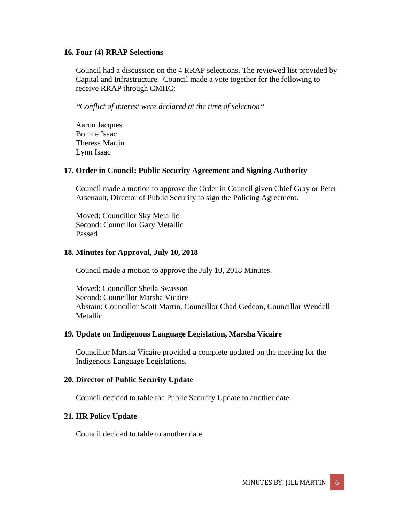#### **16. Four (4) RRAP Selections**

Council had a discussion on the 4 RRAP selections**.** The reviewed list provided by Capital and Infrastructure. Council made a vote together for the following to receive RRAP through CMHC:

*\*Conflict of interest were declared at the time of selection\** 

Aaron Jacques Bonnie Isaac Theresa Martin Lynn Isaac

### **17. Order in Council: Public Security Agreement and Signing Authority**

Council made a motion to approve the Order in Council given Chief Gray or Peter Arsenault, Director of Public Security to sign the Policing Agreement.

Moved: Councillor Sky Metallic Second: Councillor Gary Metallic Passed

### **18. Minutes for Approval, July 10, 2018**

Council made a motion to approve the July 10, 2018 Minutes.

Moved: Councillor Sheila Swasson Second: Councillor Marsha Vicaire Abstain: Councillor Scott Martin, Councillor Chad Gedeon, Councillor Wendell Metallic

### **19. Update on Indigenous Language Legislation, Marsha Vicaire**

Councillor Marsha Vicaire provided a complete updated on the meeting for the Indigenous Language Legislations.

### **20. Director of Public Security Update**

Council decided to table the Public Security Update to another date.

### **21. HR Policy Update**

Council decided to table to another date.